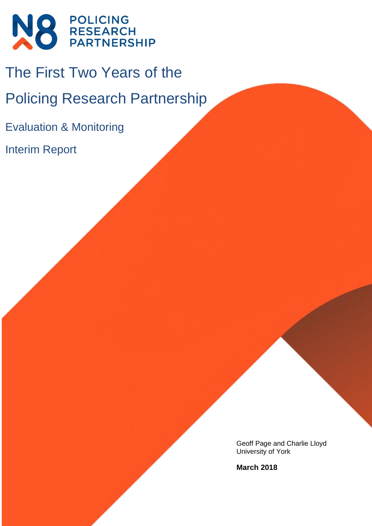

# The First Two Years of the

Policing Research Partnership

Evaluation & Monitoring

Interim Report

Geoff Page and Charlie Lloyd University of York

**March 2018**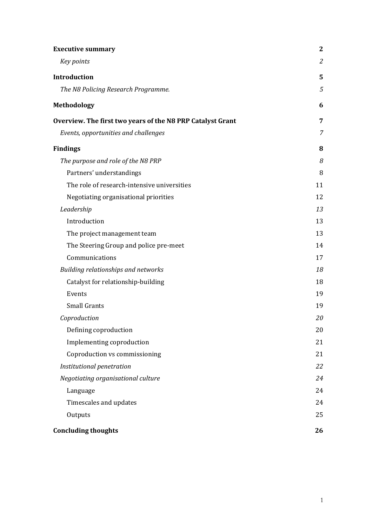| <b>Executive summary</b>                                   | $\mathbf{2}$   |
|------------------------------------------------------------|----------------|
| Key points                                                 | $\mathfrak{2}$ |
| <b>Introduction</b>                                        | 5              |
| The N8 Policing Research Programme.                        | 5              |
| <b>Methodology</b>                                         | 6              |
| Overview. The first two years of the N8 PRP Catalyst Grant | 7              |
| Events, opportunities and challenges                       | 7              |
| <b>Findings</b>                                            | 8              |
| The purpose and role of the N8 PRP                         | 8              |
| Partners' understandings                                   | 8              |
| The role of research-intensive universities                | 11             |
| Negotiating organisational priorities                      | 12             |
| Leadership                                                 | 13             |
| Introduction                                               | 13             |
| The project management team                                | 13             |
| The Steering Group and police pre-meet                     | 14             |
| Communications                                             | 17             |
| Building relationships and networks                        | 18             |
| Catalyst for relationship-building                         | 18             |
| Events                                                     | 19             |
| <b>Small Grants</b>                                        | 19             |
| Coproduction                                               | 20             |
| Defining coproduction                                      | 20             |
| Implementing coproduction                                  | 21             |
| Coproduction vs commissioning                              | 21             |
| Institutional penetration                                  | 22             |
| Negotiating organisational culture                         | 24             |
| Language                                                   | 24             |
| Timescales and updates                                     | 24             |
| Outputs                                                    | 25             |
| <b>Concluding thoughts</b>                                 | 26             |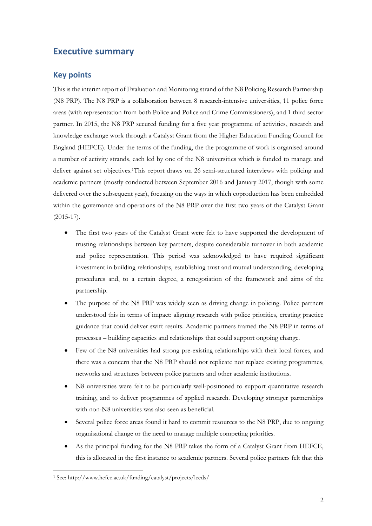# **Executive summary**

# **Key points**

This is the interim report of Evaluation and Monitoring strand of the N8 Policing Research Partnership (N8 PRP). The N8 PRP is a collaboration between 8 research-intensive universities, 11 police force areas (with representation from both Police and Police and Crime Commissioners), and 1 third sector partner. In 2015, the N8 PRP secured funding for a five year programme of activities, research and knowledge exchange work through a Catalyst Grant from the Higher Education Funding Council for England (HEFCE). Under the terms of the funding, the the programme of work is organised around a number of activity strands, each led by one of the N8 universities which is funded to manage and deliver against set objectives.1This report draws on 26 semi-structured interviews with policing and academic partners (mostly conducted between September 2016 and January 2017, though with some delivered over the subsequent year), focusing on the ways in which coproduction has been embedded within the governance and operations of the N8 PRP over the first two years of the Catalyst Grant (2015-17).

- The first two years of the Catalyst Grant were felt to have supported the development of trusting relationships between key partners, despite considerable turnover in both academic and police representation. This period was acknowledged to have required significant investment in building relationships, establishing trust and mutual understanding, developing procedures and, to a certain degree, a renegotiation of the framework and aims of the partnership.
- The purpose of the N8 PRP was widely seen as driving change in policing. Police partners understood this in terms of impact: aligning research with police priorities, creating practice guidance that could deliver swift results. Academic partners framed the N8 PRP in terms of processes – building capacities and relationships that could support ongoing change.
- Few of the N8 universities had strong pre-existing relationships with their local forces, and there was a concern that the N8 PRP should not replicate nor replace existing programmes, networks and structures between police partners and other academic institutions.
- N8 universities were felt to be particularly well-positioned to support quantitative research training, and to deliver programmes of applied research. Developing stronger partnerships with non-N8 universities was also seen as beneficial.
- Several police force areas found it hard to commit resources to the N8 PRP, due to ongoing organisational change or the need to manage multiple competing priorities.
- As the principal funding for the N8 PRP takes the form of a Catalyst Grant from HEFCE, this is allocated in the first instance to academic partners. Several police partners felt that this

<sup>&</sup>lt;u>.</u> <sup>1</sup> See: http://www.hefce.ac.uk/funding/catalyst/projects/leeds/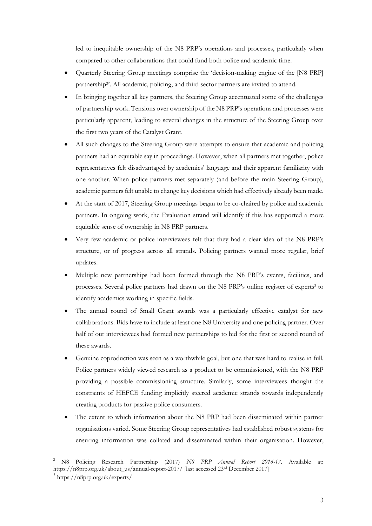led to inequitable ownership of the N8 PRP's operations and processes, particularly when compared to other collaborations that could fund both police and academic time.

- Quarterly Steering Group meetings comprise the 'decision-making engine of the [N8 PRP] partnership<sup>2</sup>. All academic, policing, and third sector partners are invited to attend.
- In bringing together all key partners, the Steering Group accentuated some of the challenges of partnership work. Tensions over ownership of the N8 PRP's operations and processes were particularly apparent, leading to several changes in the structure of the Steering Group over the first two years of the Catalyst Grant.
- All such changes to the Steering Group were attempts to ensure that academic and policing partners had an equitable say in proceedings. However, when all partners met together, police representatives felt disadvantaged by academics' language and their apparent familiarity with one another. When police partners met separately (and before the main Steering Group), academic partners felt unable to change key decisions which had effectively already been made.
- At the start of 2017, Steering Group meetings began to be co-chaired by police and academic partners. In ongoing work, the Evaluation strand will identify if this has supported a more equitable sense of ownership in N8 PRP partners.
- Very few academic or police interviewees felt that they had a clear idea of the N8 PRP's structure, or of progress across all strands. Policing partners wanted more regular, brief updates.
- Multiple new partnerships had been formed through the N8 PRP's events, facilities, and processes. Several police partners had drawn on the N8 PRP's online register of experts<sup>3</sup> to identify academics working in specific fields.
- The annual round of Small Grant awards was a particularly effective catalyst for new collaborations. Bids have to include at least one N8 University and one policing partner. Over half of our interviewees had formed new partnerships to bid for the first or second round of these awards.
- Genuine coproduction was seen as a worthwhile goal, but one that was hard to realise in full. Police partners widely viewed research as a product to be commissioned, with the N8 PRP providing a possible commissioning structure. Similarly, some interviewees thought the constraints of HEFCE funding implicitly steered academic strands towards independently creating products for passive police consumers.
- The extent to which information about the N8 PRP had been disseminated within partner organisations varied. Some Steering Group representatives had established robust systems for ensuring information was collated and disseminated within their organisation. However,

<u>.</u>

<sup>2</sup> N8 Policing Research Partnership (2017) *N8 PRP Annual Report 2016-17.* Available at: https://n8prp.org.uk/about\_us/annual-report-2017/ [last accessed 23rd December 2017]

<sup>3</sup> https://n8prp.org.uk/experts/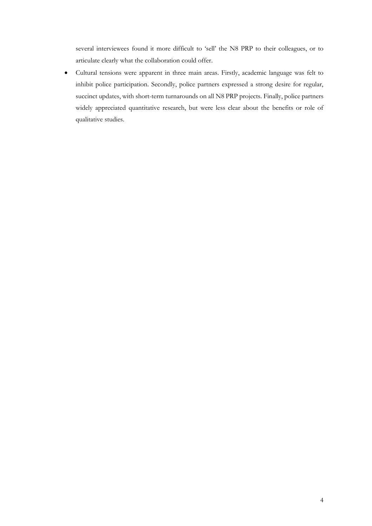several interviewees found it more difficult to 'sell' the N8 PRP to their colleagues, or to articulate clearly what the collaboration could offer.

 Cultural tensions were apparent in three main areas. Firstly, academic language was felt to inhibit police participation. Secondly, police partners expressed a strong desire for regular, succinct updates, with short-term turnarounds on all N8 PRP projects. Finally, police partners widely appreciated quantitative research, but were less clear about the benefits or role of qualitative studies.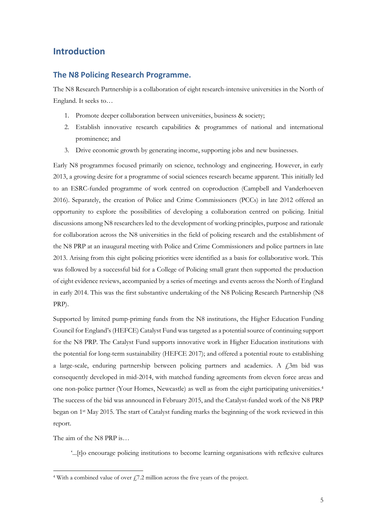# **Introduction**

### **The N8 Policing Research Programme.**

The N8 Research Partnership is a collaboration of eight research-intensive universities in the North of England. It seeks to…

- 1. Promote deeper collaboration between universities, business & society;
- 2. Establish innovative research capabilities & programmes of national and international prominence; and
- 3. Drive economic growth by generating income, supporting jobs and new businesses.

Early N8 programmes focused primarily on science, technology and engineering. However, in early 2013, a growing desire for a programme of social sciences research became apparent. This initially led to an ESRC-funded programme of work centred on coproduction (Campbell and Vanderhoeven 2016). Separately, the creation of Police and Crime Commissioners (PCCs) in late 2012 offered an opportunity to explore the possibilities of developing a collaboration centred on policing. Initial discussions among N8 researchers led to the development of working principles, purpose and rationale for collaboration across the N8 universities in the field of policing research and the establishment of the N8 PRP at an inaugural meeting with Police and Crime Commissioners and police partners in late 2013. Arising from this eight policing priorities were identified as a basis for collaborative work. This was followed by a successful bid for a College of Policing small grant then supported the production of eight evidence reviews, accompanied by a series of meetings and events across the North of England in early 2014. This was the first substantive undertaking of the N8 Policing Research Partnership (N8 PRP).

Supported by limited pump-priming funds from the N8 institutions, the Higher Education Funding Council for England's (HEFCE) Catalyst Fund was targeted as a potential source of continuing support for the N8 PRP. The Catalyst Fund supports innovative work in Higher Education institutions with the potential for long-term sustainability (HEFCE 2017); and offered a potential route to establishing a large-scale, enduring partnership between policing partners and academics. A  $f<sub>1</sub>$ 3m bid was consequently developed in mid-2014, with matched funding agreements from eleven force areas and one non-police partner (Your Homes, Newcastle) as well as from the eight participating universities. 4 The success of the bid was announced in February 2015, and the Catalyst-funded work of the N8 PRP began on 1st May 2015. The start of Catalyst funding marks the beginning of the work reviewed in this report.

The aim of the N8 PRP is…

<u>.</u>

'...[t]o encourage policing institutions to become learning organisations with reflexive cultures

<sup>&</sup>lt;sup>4</sup> With a combined value of over  $\frac{1}{2}$ . 2 million across the five years of the project.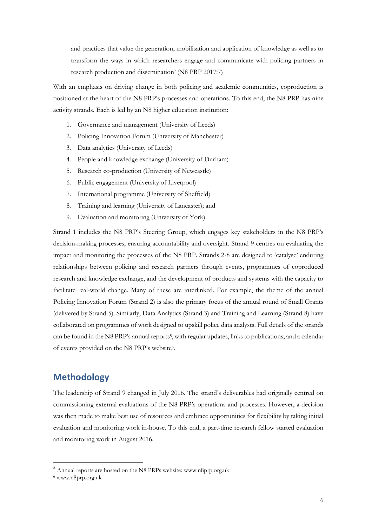and practices that value the generation, mobilisation and application of knowledge as well as to transform the ways in which researchers engage and communicate with policing partners in research production and dissemination' (N8 PRP 2017:7)

With an emphasis on driving change in both policing and academic communities, coproduction is positioned at the heart of the N8 PRP's processes and operations. To this end, the N8 PRP has nine activity strands. Each is led by an N8 higher education institution:

- 1. Governance and management (University of Leeds)
- 2. Policing Innovation Forum (University of Manchester)
- 3. Data analytics (University of Leeds)
- 4. People and knowledge exchange (University of Durham)
- 5. Research co-production (University of Newcastle)
- 6. Public engagement (University of Liverpool)
- 7. International programme (University of Sheffield)
- 8. Training and learning (University of Lancaster); and
- 9. Evaluation and monitoring (University of York)

Strand 1 includes the N8 PRP's Steering Group, which engages key stakeholders in the N8 PRP's decision-making processes, ensuring accountability and oversight. Strand 9 centres on evaluating the impact and monitoring the processes of the N8 PRP. Strands 2-8 are designed to 'catalyse' enduring relationships between policing and research partners through events, programmes of coproduced research and knowledge exchange, and the development of products and systems with the capacity to facilitate real-world change. Many of these are interlinked. For example, the theme of the annual Policing Innovation Forum (Strand 2) is also the primary focus of the annual round of Small Grants (delivered by Strand 5). Similarly, Data Analytics (Strand 3) and Training and Learning (Strand 8) have collaborated on programmes of work designed to upskill police data analysts. Full details of the strands can be found in the N8 PRP's annual reports<sup>5</sup>, with regular updates, links to publications, and a calendar of events provided on the N8 PRP's website<sup>6</sup>.

# **Methodology**

The leadership of Strand 9 changed in July 2016. The strand's deliverables had originally centred on commissioning external evaluations of the N8 PRP's operations and processes. However, a decision was then made to make best use of resources and embrace opportunities for flexibility by taking initial evaluation and monitoring work in-house. To this end, a part-time research fellow started evaluation and monitoring work in August 2016.

-

<sup>5</sup> Annual reports are hosted on the N8 PRPs website: www.n8prp.org.uk

<sup>6</sup> www.n8prp.org.uk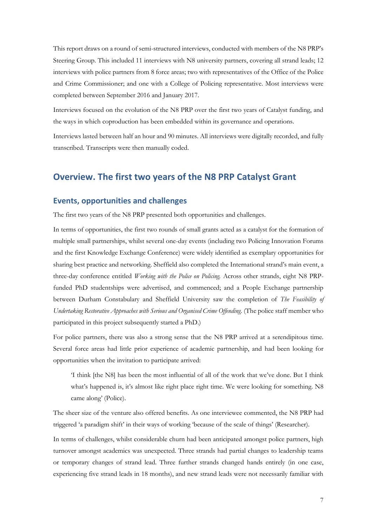This report draws on a round of semi-structured interviews, conducted with members of the N8 PRP's Steering Group. This included 11 interviews with N8 university partners, covering all strand leads; 12 interviews with police partners from 8 force areas; two with representatives of the Office of the Police and Crime Commissioner; and one with a College of Policing representative. Most interviews were completed between September 2016 and January 2017.

Interviews focused on the evolution of the N8 PRP over the first two years of Catalyst funding, and the ways in which coproduction has been embedded within its governance and operations.

Interviews lasted between half an hour and 90 minutes. All interviews were digitally recorded, and fully transcribed. Transcripts were then manually coded.

# **Overview. The first two years of the N8 PRP Catalyst Grant**

# **Events, opportunities and challenges**

The first two years of the N8 PRP presented both opportunities and challenges.

In terms of opportunities, the first two rounds of small grants acted as a catalyst for the formation of multiple small partnerships, whilst several one-day events (including two Policing Innovation Forums and the first Knowledge Exchange Conference) were widely identified as exemplary opportunities for sharing best practice and networking. Sheffield also completed the International strand's main event, a three-day conference entitled *Working with the Police on Policing.* Across other strands, eight N8 PRPfunded PhD studentships were advertised, and commenced; and a People Exchange partnership between Durham Constabulary and Sheffield University saw the completion of *The Feasibility of Undertaking Restorative Approaches with Serious and Organised Crime Offending.* (The police staff member who participated in this project subsequently started a PhD.)

For police partners, there was also a strong sense that the N8 PRP arrived at a serendipitous time. Several force areas had little prior experience of academic partnership, and had been looking for opportunities when the invitation to participate arrived:

'I think [the N8] has been the most influential of all of the work that we've done. But I think what's happened is, it's almost like right place right time. We were looking for something. N8 came along' (Police).

The sheer size of the venture also offered benefits. As one interviewee commented, the N8 PRP had triggered 'a paradigm shift' in their ways of working 'because of the scale of things' (Researcher).

In terms of challenges, whilst considerable churn had been anticipated amongst police partners, high turnover amongst academics was unexpected. Three strands had partial changes to leadership teams or temporary changes of strand lead. Three further strands changed hands entirely (in one case, experiencing five strand leads in 18 months), and new strand leads were not necessarily familiar with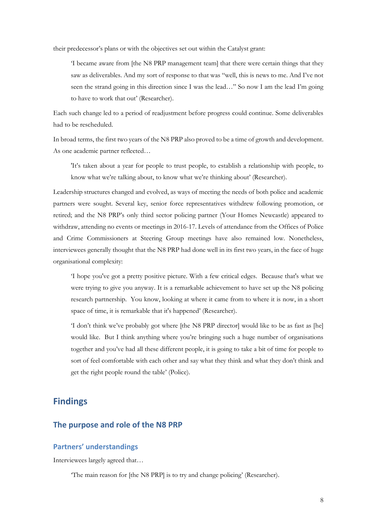their predecessor's plans or with the objectives set out within the Catalyst grant:

'I became aware from [the N8 PRP management team] that there were certain things that they saw as deliverables. And my sort of response to that was "well, this is news to me. And I've not seen the strand going in this direction since I was the lead…" So now I am the lead I'm going to have to work that out' (Researcher).

Each such change led to a period of readjustment before progress could continue. Some deliverables had to be rescheduled.

In broad terms, the first two years of the N8 PRP also proved to be a time of growth and development. As one academic partner reflected…

'It's taken about a year for people to trust people, to establish a relationship with people, to know what we're talking about, to know what we're thinking about' (Researcher).

Leadership structures changed and evolved, as ways of meeting the needs of both police and academic partners were sought. Several key, senior force representatives withdrew following promotion, or retired; and the N8 PRP's only third sector policing partner (Your Homes Newcastle) appeared to withdraw, attending no events or meetings in 2016-17. Levels of attendance from the Offices of Police and Crime Commissioners at Steering Group meetings have also remained low. Nonetheless, interviewees generally thought that the N8 PRP had done well in its first two years, in the face of huge organisational complexity:

'I hope you've got a pretty positive picture. With a few critical edges. Because that's what we were trying to give you anyway. It is a remarkable achievement to have set up the N8 policing research partnership. You know, looking at where it came from to where it is now, in a short space of time, it is remarkable that it's happened' (Researcher).

'I don't think we've probably got where [the N8 PRP director] would like to be as fast as [he] would like. But I think anything where you're bringing such a huge number of organisations together and you've had all these different people, it is going to take a bit of time for people to sort of feel comfortable with each other and say what they think and what they don't think and get the right people round the table' (Police).

# **Findings**

## **The purpose and role of the N8 PRP**

## **Partners' understandings**

Interviewees largely agreed that…

'The main reason for [the N8 PRP] is to try and change policing' (Researcher).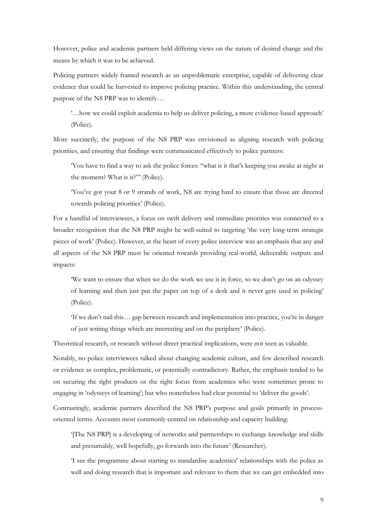However, police and academic partners held differing views on the nature of desired change and the means by which it was to be achieved.

Policing partners widely framed research as an unproblematic enterprise, capable of delivering clear evidence that could be harvested to improve policing practice. Within this understanding, the central purpose of the N8 PRP was to identify…

'…how we could exploit academia to help us deliver policing, a more evidence-based approach' (Police).

More succinctly, the purpose of the N8 PRP was envisioned as aligning research with policing priorities, and ensuring that findings were communicated effectively to police partners:

'You have to find a way to ask the police forces: "what is it that's keeping you awake at night at the moment? What is it?"' (Police).

'You've got your 8 or 9 strands of work, N8 are trying hard to ensure that those are directed towards policing priorities' (Police).

For a handful of interviewees, a focus on swift delivery and immediate priorities was connected to a broader recognition that the N8 PRP might be well-suited to targeting 'the very long-term strategic pieces of work' (Police). However, at the heart of every police interview was an emphasis that any and all aspects of the N8 PRP must be oriented towards providing real-world, deliverable outputs and impacts:

'We want to ensure that when we do the work we use it in force, so we don't go on an odyssey of learning and then just put the paper on top of a desk and it never gets used in policing' (Police).

'If we don't nail this… gap between research and implementation into practice, you're in danger of just writing things which are interesting and on the periphery' (Police).

Theoretical research, or research without direct practical implications, were not seen as valuable.

Notably, no police interviewees talked about changing academic culture, and few described research or evidence as complex, problematic, or potentially contradictory. Rather, the emphasis tended to be on securing the right products or the right focus from academics who were sometimes prone to engaging in 'odysseys of learning'; but who nonetheless had clear potential to 'deliver the goods'.

Contrastingly, academic partners described the N8 PRP's purpose and goals primarily in processoriented terms. Accounts most commonly centred on relationship and capacity building:

'[The N8 PRP] is a developing of networks and partnerships to exchange knowledge and skills and presumably, well hopefully, go forwards into the future' (Researcher).

'I see the programme about starting to standardise academics' relationships with the police as well and doing research that is important and relevant to them that we can get embedded into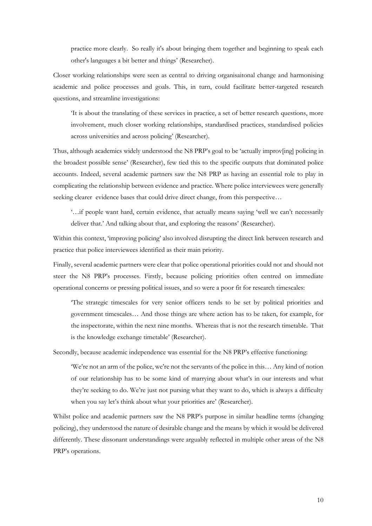practice more clearly. So really it's about bringing them together and beginning to speak each other's languages a bit better and things' (Researcher).

Closer working relationships were seen as central to driving organisaitonal change and harmonising academic and police processes and goals. This, in turn, could facilitate better-targeted research questions, and streamline investigations:

'It is about the translating of these services in practice, a set of better research questions, more involvement, much closer working relationships, standardised practices, standardised policies across universities and across policing' (Researcher).

Thus, although academics widely understood the N8 PRP's goal to be 'actually improv[ing] policing in the broadest possible sense' (Researcher), few tied this to the specific outputs that dominated police accounts. Indeed, several academic partners saw the N8 PRP as having an essential role to play in complicating the relationship between evidence and practice. Where police interviewees were generally seeking clearer evidence bases that could drive direct change, from this perspective...

'…if people want hard, certain evidence, that actually means saying 'well we can't necessarily deliver that.' And talking about that, and exploring the reasons' (Researcher).

Within this context, 'improving policing' also involved disrupting the direct link between research and practice that police interviewees identified as their main priority.

Finally, several academic partners were clear that police operational priorities could not and should not steer the N8 PRP's processes. Firstly, because policing priorities often centred on immediate operational concerns or pressing political issues, and so were a poor fit for research timescales:

'The strategic timescales for very senior officers tends to be set by political priorities and government timescales… And those things are where action has to be taken, for example, for the inspectorate, within the next nine months. Whereas that is not the research timetable. That is the knowledge exchange timetable' (Researcher).

Secondly, because academic independence was essential for the N8 PRP's effective functioning:

'We're not an arm of the police, we're not the servants of the police in this… Any kind of notion of our relationship has to be some kind of marrying about what's in our interests and what they're seeking to do. We're just not pursing what they want to do, which is always a difficulty when you say let's think about what your priorities are' (Researcher).

Whilst police and academic partners saw the N8 PRP's purpose in similar headline terms (changing policing), they understood the nature of desirable change and the means by which it would be delivered differently. These dissonant understandings were arguably reflected in multiple other areas of the N8 PRP's operations.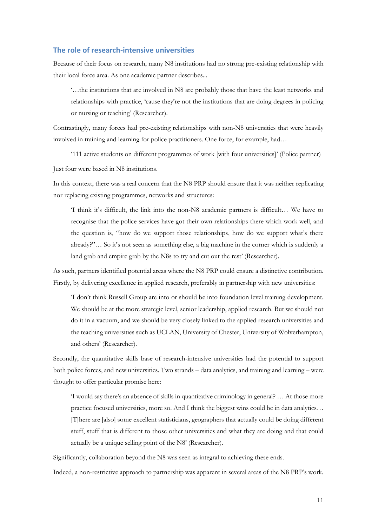#### **The role of research-intensive universities**

Because of their focus on research, many N8 institutions had no strong pre-existing relationship with their local force area. As one academic partner describes...

'…the institutions that are involved in N8 are probably those that have the least networks and relationships with practice, 'cause they're not the institutions that are doing degrees in policing or nursing or teaching' (Researcher).

Contrastingly, many forces had pre-existing relationships with non-N8 universities that were heavily involved in training and learning for police practitioners. One force, for example, had…

'111 active students on different programmes of work [with four universities]' (Police partner) Just four were based in N8 institutions.

In this context, there was a real concern that the N8 PRP should ensure that it was neither replicating nor replacing existing programmes, networks and structures:

'I think it's difficult, the link into the non-N8 academic partners is difficult… We have to recognise that the police services have got their own relationships there which work well, and the question is, "how do we support those relationships, how do we support what's there already?"… So it's not seen as something else, a big machine in the corner which is suddenly a land grab and empire grab by the N8s to try and cut out the rest' (Researcher).

As such, partners identified potential areas where the N8 PRP could ensure a distinctive contribution. Firstly, by delivering excellence in applied research, preferably in partnership with new universities:

'I don't think Russell Group are into or should be into foundation level training development. We should be at the more strategic level, senior leadership, applied research. But we should not do it in a vacuum, and we should be very closely linked to the applied research universities and the teaching universities such as UCLAN, University of Chester, University of Wolverhampton, and others' (Researcher).

Secondly, the quantitative skills base of research-intensive universities had the potential to support both police forces, and new universities. Two strands – data analytics, and training and learning – were thought to offer particular promise here:

'I would say there's an absence of skills in quantitative criminology in general? … At those more practice focused universities, more so. And I think the biggest wins could be in data analytics… [T]here are [also] some excellent statisticians, geographers that actually could be doing different stuff, stuff that is different to those other universities and what they are doing and that could actually be a unique selling point of the N8' (Researcher).

Significantly, collaboration beyond the N8 was seen as integral to achieving these ends.

Indeed, a non-restrictive approach to partnership was apparent in several areas of the N8 PRP's work.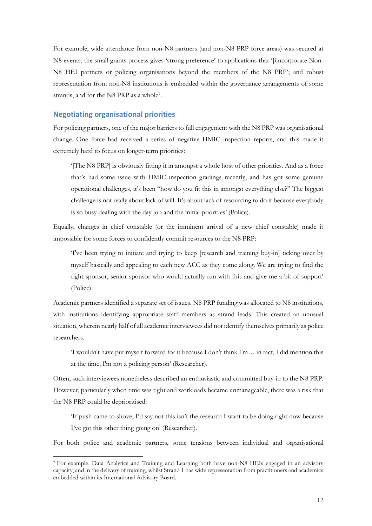For example, wide attendance from non-N8 partners (and non-N8 PRP force areas) was secured at N8 events; the small grants process gives 'strong preference' to applications that '[i]ncorporate Non-N8 HEI partners or policing organisations beyond the members of the N8 PRP'; and robust representation from non-N8 institutions is embedded within the governance arrangements of some strands, and for the N8 PRP as a whole<sup>7</sup> .

#### **Negotiating organisational priorities**

-

For policing partners, one of the major barriers to full engagement with the N8 PRP was organisational change. One force had received a series of negative HMIC inspection reports, and this made it extremely hard to focus on longer-term priorities:

'[The N8 PRP] is obviously fitting it in amongst a whole host of other priorities. And as a force that's had some issue with HMIC inspection gradings recently, and has got some genuine operational challenges, it's been "how do you fit this in amongst everything else?" The biggest challenge is not really about lack of will. It's about lack of resourcing to do it because everybody is so busy dealing with the day job and the initial priorities' (Police).

Equally, changes in chief constable (or the imminent arrival of a new chief constable) made it impossible for some forces to confidently commit resources to the N8 PRP:

'I've been trying to initiate and trying to keep [research and training buy-in] ticking over by myself basically and appealing to each new ACC as they come along. We are trying to find the right sponsor, senior sponsor who would actually run with this and give me a bit of support' (Police).

Academic partners identified a separate set of issues. N8 PRP funding was allocated to N8 institutions, with institutions identifying appropriate staff members as strand leads. This created an unusual situation, wherein nearly half of all academic interviewees did not identify themselves primarily as police researchers.

'I wouldn't have put myself forward for it because I don't think I'm… in fact, I did mention this at the time, I'm not a policing person' (Researcher).

Often, such interviewees nonetheless described an enthusiastic and committed buy-in to the N8 PRP. However, particularly when time was tight and workloads became unmanageable, there was a risk that the N8 PRP could be deprioritised:

'If push came to shove, I'd say not this isn't the research I want to be doing right now because I've got this other thing going on' (Researcher).

For both police and academic partners, some tensions between individual and organisational

<sup>7</sup> For example, Data Analytics and Training and Learning both have non-N8 HEIs engaged in an advisory capacity, and in the delivery of training; whilst Strand 1 has wide representation from practitioners and academics embedded within its International Advisory Board.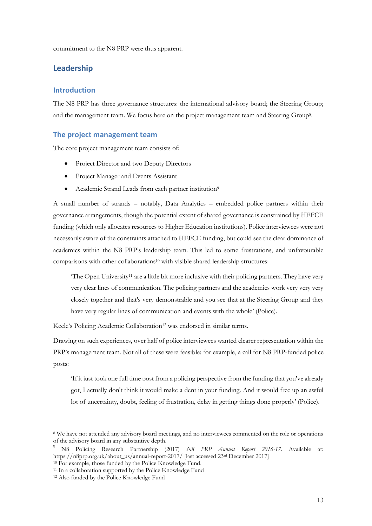commitment to the N8 PRP were thus apparent.

# **Leadership**

#### **Introduction**

The N8 PRP has three governance structures: the international advisory board; the Steering Group; and the management team. We focus here on the project management team and Steering Group<sup>8</sup> .

#### **The project management team**

The core project management team consists of:

- Project Director and two Deputy Directors
- Project Manager and Events Assistant
- Academic Strand Leads from each partner institution<sup>9</sup>

A small number of strands – notably, Data Analytics – embedded police partners within their governance arrangements, though the potential extent of shared governance is constrained by HEFCE funding (which only allocates resources to Higher Education institutions). Police interviewees were not necessarily aware of the constraints attached to HEFCE funding, but could see the clear dominance of academics within the N8 PRP's leadership team. This led to some frustrations, and unfavourable comparisons with other collaborations<sup>10</sup> with visible shared leadership structures:

 $T$ he Open University<sup>11</sup> are a little bit more inclusive with their policing partners. They have very very clear lines of communication. The policing partners and the academics work very very very closely together and that's very demonstrable and you see that at the Steering Group and they have very regular lines of communication and events with the whole' (Police).

Keele's Policing Academic Collaboration<sup>12</sup> was endorsed in similar terms.

Drawing on such experiences, over half of police interviewees wanted clearer representation within the PRP's management team. Not all of these were feasible: for example, a call for N8 PRP-funded police posts:

'If it just took one full time post from a policing perspective from the funding that you've already got, I actually don't think it would make a dent in your funding. And it would free up an awful lot of uncertainty, doubt, feeling of frustration, delay in getting things done properly' (Police).

<u>.</u>

<sup>&</sup>lt;sup>8</sup> We have not attended any advisory board meetings, and no interviewees commented on the role or operations of the advisory board in any substantive depth.

<sup>9</sup> N8 Policing Research Partnership (2017) *N8 PRP Annual Report 2016-17.* Available at: https://n8prp.org.uk/about\_us/annual-report-2017/ [last accessed 23rd December 2017]

<sup>&</sup>lt;sup>10</sup> For example, those funded by the Police Knowledge Fund.

<sup>&</sup>lt;sup>11</sup> In a collaboration supported by the Police Knowledge Fund

<sup>&</sup>lt;sup>12</sup> Also funded by the Police Knowledge Fund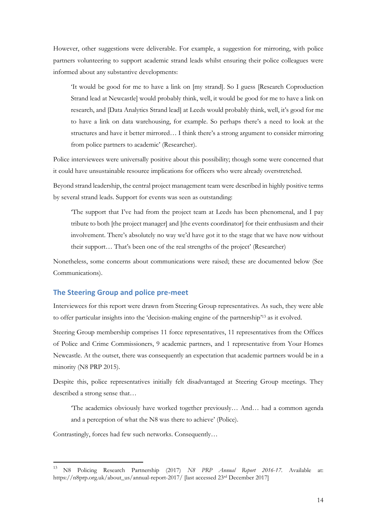However, other suggestions were deliverable. For example, a suggestion for mirroring, with police partners volunteering to support academic strand leads whilst ensuring their police colleagues were informed about any substantive developments:

'It would be good for me to have a link on [my strand]. So I guess [Research Coproduction Strand lead at Newcastle] would probably think, well, it would be good for me to have a link on research, and [Data Analytics Strand lead] at Leeds would probably think, well, it's good for me to have a link on data warehousing, for example. So perhaps there's a need to look at the structures and have it better mirrored… I think there's a strong argument to consider mirroring from police partners to academic' (Researcher).

Police interviewees were universally positive about this possibility; though some were concerned that it could have unsustainable resource implications for officers who were already overstretched.

Beyond strand leadership, the central project management team were described in highly positive terms by several strand leads. Support for events was seen as outstanding:

'The support that I've had from the project team at Leeds has been phenomenal, and I pay tribute to both [the project manager] and [the events coordinator] for their enthusiasm and their involvement. There's absolutely no way we'd have got it to the stage that we have now without their support… That's been one of the real strengths of the project' (Researcher)

Nonetheless, some concerns about communications were raised; these are documented below (See [Communications\)](#page-17-0).

### **The Steering Group and police pre-meet**

Interviewees for this report were drawn from Steering Group representatives. As such, they were able to offer particular insights into the 'decision-making engine of the partnership'<sup>13</sup> as it evolved.

Steering Group membership comprises 11 force representatives, 11 representatives from the Offices of Police and Crime Commissioners, 9 academic partners, and 1 representative from Your Homes Newcastle. At the outset, there was consequently an expectation that academic partners would be in a minority (N8 PRP 2015).

Despite this, police representatives initially felt disadvantaged at Steering Group meetings. They described a strong sense that…

'The academics obviously have worked together previously… And… had a common agenda and a perception of what the N8 was there to achieve' (Police).

Contrastingly, forces had few such networks. Consequently…

-

<sup>13</sup> N8 Policing Research Partnership (2017) *N8 PRP Annual Report 2016-17.* Available at: https://n8prp.org.uk/about\_us/annual-report-2017/ [last accessed 23rd December 2017]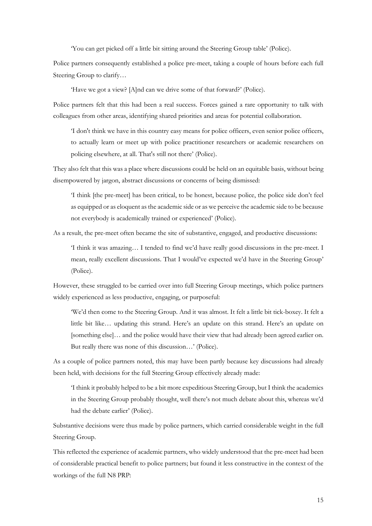'You can get picked off a little bit sitting around the Steering Group table' (Police).

Police partners consequently established a police pre-meet, taking a couple of hours before each full Steering Group to clarify…

'Have we got a view? [A]nd can we drive some of that forward?' (Police).

Police partners felt that this had been a real success. Forces gained a rare opportunity to talk with colleagues from other areas, identifying shared priorities and areas for potential collaboration.

'I don't think we have in this country easy means for police officers, even senior police officers, to actually learn or meet up with police practitioner researchers or academic researchers on policing elsewhere, at all. That's still not there' (Police).

They also felt that this was a place where discussions could be held on an equitable basis, without being disempowered by jargon, abstract discussions or concerns of being dismissed:

'I think [the pre-meet] has been critical, to be honest, because police, the police side don't feel as equipped or as eloquent as the academic side or as we perceive the academic side to be because not everybody is academically trained or experienced' (Police).

As a result, the pre-meet often became the site of substantive, engaged, and productive discussions:

'I think it was amazing… I tended to find we'd have really good discussions in the pre-meet. I mean, really excellent discussions. That I would've expected we'd have in the Steering Group' (Police).

However, these struggled to be carried over into full Steering Group meetings, which police partners widely experienced as less productive, engaging, or purposeful:

'We'd then come to the Steering Group. And it was almost. It felt a little bit tick-boxey. It felt a little bit like… updating this strand. Here's an update on this strand. Here's an update on [something else]… and the police would have their view that had already been agreed earlier on. But really there was none of this discussion…' (Police).

As a couple of police partners noted, this may have been partly because key discussions had already been held, with decisions for the full Steering Group effectively already made:

'I think it probably helped to be a bit more expeditious Steering Group, but I think the academics in the Steering Group probably thought, well there's not much debate about this, whereas we'd had the debate earlier' (Police).

Substantive decisions were thus made by police partners, which carried considerable weight in the full Steering Group.

This reflected the experience of academic partners, who widely understood that the pre-meet had been of considerable practical benefit to police partners; but found it less constructive in the context of the workings of the full N8 PRP: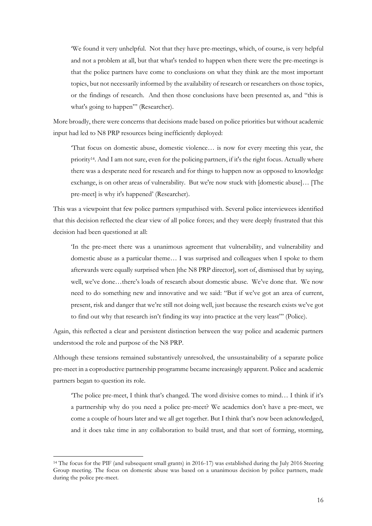'We found it very unhelpful. Not that they have pre-meetings, which, of course, is very helpful and not a problem at all, but that what's tended to happen when there were the pre-meetings is that the police partners have come to conclusions on what they think are the most important topics, but not necessarily informed by the availability of research or researchers on those topics, or the findings of research. And then those conclusions have been presented as, and "this is what's going to happen"' (Researcher).

More broadly, there were concerns that decisions made based on police priorities but without academic input had led to N8 PRP resources being inefficiently deployed:

'That focus on domestic abuse, domestic violence… is now for every meeting this year, the priority14. And I am not sure, even for the policing partners, if it's the right focus. Actually where there was a desperate need for research and for things to happen now as opposed to knowledge exchange, is on other areas of vulnerability. But we're now stuck with [domestic abuse]… [The pre-meet] is why it's happened' (Researcher).

This was a viewpoint that few police partners sympathised with. Several police interviewees identified that this decision reflected the clear view of all police forces; and they were deeply frustrated that this decision had been questioned at all:

'In the pre-meet there was a unanimous agreement that vulnerability, and vulnerability and domestic abuse as a particular theme… I was surprised and colleagues when I spoke to them afterwards were equally surprised when [the N8 PRP director], sort of, dismissed that by saying, well, we've done…there's loads of research about domestic abuse. We've done that. We now need to do something new and innovative and we said: "But if we've got an area of current, present, risk and danger that we're still not doing well, just because the research exists we've got to find out why that research isn't finding its way into practice at the very least"' (Police).

Again, this reflected a clear and persistent distinction between the way police and academic partners understood the role and purpose of the N8 PRP.

Although these tensions remained substantively unresolved, the unsustainability of a separate police pre-meet in a coproductive partnership programme became increasingly apparent. Police and academic partners began to question its role.

'The police pre-meet, I think that's changed. The word divisive comes to mind… I think if it's a partnership why do you need a police pre-meet? We academics don't have a pre-meet, we come a couple of hours later and we all get together. But I think that's now been acknowledged, and it does take time in any collaboration to build trust, and that sort of forming, storming,

-

<sup>&</sup>lt;sup>14</sup> The focus for the PIF (and subsequent small grants) in 2016-17) was established during the July 2016 Steering Group meeting. The focus on domestic abuse was based on a unanimous decision by police partners, made during the police pre-meet.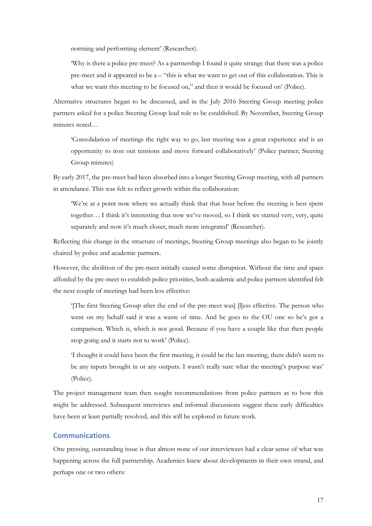norming and performing element' (Researcher).

'Why is there a police pre-meet? As a partnership I found it quite strange that there was a police pre-meet and it appeared to be  $a -$  "this is what we want to get out of this collaboration. This is what we want this meeting to be focused on," and then it would be focused on' (Police).

Alternative structures began to be discussed, and in the July 2016 Steering Group meeting police partners asked for a police Steering Group lead role to be established. By November, Steering Group minutes noted…

'Consolidation of meetings the right way to go, last meeting was a great experience and is an opportunity to iron out tensions and move forward collaboratively' (Police partner; Steering Group minutes)

By early 2017, the pre-meet had been absorbed into a longer Steering Group meeting, with all partners in attendance. This was felt to reflect growth within the collaboration:

'We're at a point now where we actually think that that hour before the steering is best spent together… I think it's interesting that now we've moved, so I think we started very, very, quite separately and now it's much closer, much more integrated' (Researcher).

Reflecting this change in the structure of meetings, Steering Group meetings also began to be jointly chaired by police and academic partners.

However, the abolition of the pre-meet initially caused some disruption. Without the time and space afforded by the pre-meet to establish police priorities, both academic and police partners identified felt the next couple of meetings had been less effective:

'[The first Steering Group after the end of the pre-meet was] [l]ess effective. The person who went on my behalf said it was a waste of time. And he goes to the OU one so he's got a comparison. Which is, which is not good. Because if you have a couple like that then people stop going and it starts not to work' (Police).

'I thought it could have been the first meeting, it could be the last meeting, there didn't seem to be any inputs brought in or any outputs. I wasn't really sure what the meeting's purpose was' (Police).

The project management team then sought recommendations from police partners as to how this might be addressed. Subsequent interviews and informal discussions suggest these early difficulties have been at least partially resolved, and this will be explored in future work.

#### <span id="page-17-0"></span>**Communications**

One pressing, outstanding issue is that almost none of our interviewees had a clear sense of what was happening across the full partnership. Academics knew about developments in their own strand, and perhaps one or two others: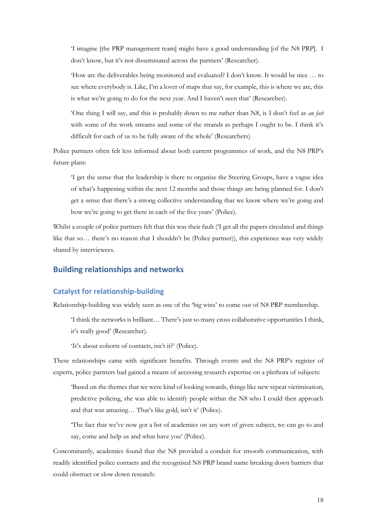'I imagine [the PRP management team] might have a good understanding [of the N8 PRP]. I don't know, but it's not disseminated across the partners' (Researcher).

'How are the deliverables being monitored and evaluated? I don't know. It would be nice … to see where everybody is. Like, I'm a lover of maps that say, for example, this is where we are, this is what we're going to do for the next year. And I haven't seen that' (Researcher).

'One thing I will say, and this is probably down to me rather than N8, is I don't feel as *au fait* with some of the work streams and some of the strands as perhaps I ought to be. I think it's difficult for each of us to be fully aware of the whole' (Researchers)

Police partners often felt less informed about both current programmes of work, and the N8 PRP's future plans:

'I get the sense that the leadership is there to organise the Steering Groups, have a vague idea of what's happening within the next 12 months and those things are being planned for. I don't get a sense that there's a strong collective understanding that we know where we're going and how we're going to get there in each of the five years' (Police).

Whilst a couple of police partners felt that this was their fault (I get all the papers circulated and things like that so… there's no reason that I shouldn't be (Police partner)), this experience was very widely shared by interviewees.

## **Building relationships and networks**

#### **Catalyst for relationship-building**

Relationship-building was widely seen as one of the 'big wins' to come out of N8 PRP membership.

'I think the networks is brilliant… There's just so many cross collaborative opportunities I think, it's really good' (Researcher).

'It's about cohorts of contacts, isn't it?' (Police).

These relationships came with significant benefits. Through events and the N8 PRP's register of experts, police partners had gained a means of accessing research expertise on a plethora of subjects:

'Based on the themes that we were kind of looking towards, things like new repeat victimisation, predictive policing, she was able to identify people within the N8 who I could then approach and that was amazing… That's like gold, isn't it' (Police).

'The fact that we've now got a list of academics on any sort of given subject, we can go to and say, come and help us and what have you' (Police).

Concomitantly, academics found that the N8 provided a conduit for smooth communication, with readily identified police contacts and the recognised N8 PRP brand name breaking down barriers that could obstruct or slow down research: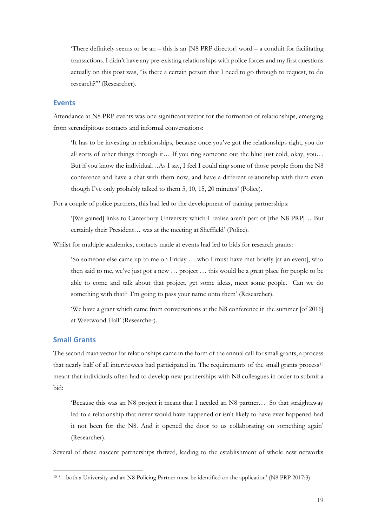There definitely seems to be an – this is an  $[N8$  PRP director word – a conduit for facilitating transactions. I didn't have any pre-existing relationships with police forces and my first questions actually on this post was, "is there a certain person that I need to go through to request, to do research?"' (Researcher).

#### **Events**

Attendance at N8 PRP events was one significant vector for the formation of relationships, emerging from serendipitous contacts and informal conversations:

'It has to be investing in relationships, because once you've got the relationships right, you do all sorts of other things through it… If you ring someone out the blue just cold, okay, you… But if you know the individual…As I say, I feel I could ring some of those people from the N8 conference and have a chat with them now, and have a different relationship with them even though I've only probably talked to them 5, 10, 15, 20 minutes' (Police).

For a couple of police partners, this had led to the development of training partnerships:

'[We gained] links to Canterbury University which I realise aren't part of [the N8 PRP]… But certainly their President… was at the meeting at Sheffield' (Police).

Whilst for multiple academics, contacts made at events had led to bids for research grants:

'So someone else came up to me on Friday … who I must have met briefly [at an event], who then said to me, we've just got a new … project … this would be a great place for people to be able to come and talk about that project, get some ideas, meet some people. Can we do something with that? I'm going to pass your name onto them' (Researcher).

'We have a grant which came from conversations at the N8 conference in the summer [of 2016] at Weetwood Hall' (Researcher).

#### **Small Grants**

The second main vector for relationships came in the form of the annual call for small grants, a process that nearly half of all interviewees had participated in. The requirements of the small grants process<sup>15</sup> meant that individuals often had to develop new partnerships with N8 colleagues in order to submit a bid:

'Because this was an N8 project it meant that I needed an N8 partner… So that straightaway led to a relationship that never would have happened or isn't likely to have ever happened had it not been for the N8. And it opened the door to us collaborating on something again' (Researcher).

Several of these nascent partnerships thrived, leading to the establishment of whole new networks

 15 '…both a University and an N8 Policing Partner must be identified on the application' (N8 PRP 2017:3)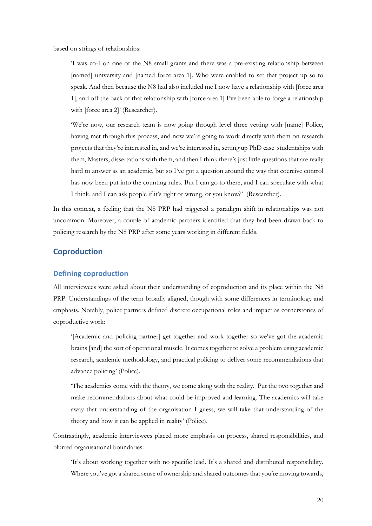based on strings of relationships:

'I was co-I on one of the N8 small grants and there was a pre-existing relationship between [named] university and [named force area 1]. Who were enabled to set that project up so to speak. And then because the N8 had also included me I now have a relationship with [force area 1], and off the back of that relationship with [force area 1] I've been able to forge a relationship with [force area 2]' (Researcher).

'We're now, our research team is now going through level three vetting with [name] Police, having met through this process, and now we're going to work directly with them on research projects that they're interested in, and we're interested in, setting up PhD case studentships with them, Masters, dissertations with them, and then I think there's just little questions that are really hard to answer as an academic, but so I've got a question around the way that coercive control has now been put into the counting rules. But I can go to there, and I can speculate with what I think, and I can ask people if it's right or wrong, or you know?' (Researcher).

In this context, a feeling that the N8 PRP had triggered a paradigm shift in relationships was not uncommon. Moreover, a couple of academic partners identified that they had been drawn back to policing research by the N8 PRP after some years working in different fields.

## **Coproduction**

#### **Defining coproduction**

All interviewees were asked about their understanding of coproduction and its place within the N8 PRP. Understandings of the term broadly aligned, though with some differences in terminology and emphasis. Notably, police partners defined discrete occupational roles and impact as cornerstones of coproductive work:

'[Academic and policing partner] get together and work together so we've got the academic brains [and] the sort of operational muscle. It comes together to solve a problem using academic research, academic methodology, and practical policing to deliver some recommendations that advance policing' (Police).

'The academics come with the theory, we come along with the reality. Put the two together and make recommendations about what could be improved and learning. The academics will take away that understanding of the organisation I guess, we will take that understanding of the theory and how it can be applied in reality' (Police).

Contrastingly, academic interviewees placed more emphasis on process, shared responsibilities, and blurred organisational boundaries:

'It's about working together with no specific lead. It's a shared and distributed responsibility. Where you've got a shared sense of ownership and shared outcomes that you're moving towards,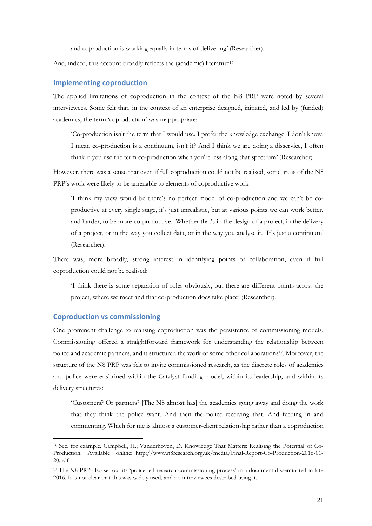and coproduction is working equally in terms of delivering' (Researcher).

And, indeed, this account broadly reflects the (academic) literature<sup>16</sup>.

#### **Implementing coproduction**

The applied limitations of coproduction in the context of the N8 PRP were noted by several interviewees. Some felt that, in the context of an enterprise designed, initiated, and led by (funded) academics, the term 'coproduction' was inappropriate:

'Co-production isn't the term that I would use. I prefer the knowledge exchange. I don't know, I mean co-production is a continuum, isn't it? And I think we are doing a disservice, I often think if you use the term co-production when you're less along that spectrum' (Researcher).

However, there was a sense that even if full coproduction could not be realised, some areas of the N8 PRP's work were likely to be amenable to elements of coproductive work

'I think my view would be there's no perfect model of co-production and we can't be coproductive at every single stage, it's just unrealistic, but at various points we can work better, and harder, to be more co-productive. Whether that's in the design of a project, in the delivery of a project, or in the way you collect data, or in the way you analyse it. It's just a continuum' (Researcher).

There was, more broadly, strong interest in identifying points of collaboration, even if full coproduction could not be realised:

'I think there is some separation of roles obviously, but there are different points across the project, where we meet and that co-production does take place' (Researcher).

#### **Coproduction vs commissioning**

-

One prominent challenge to realising coproduction was the persistence of commissioning models. Commissioning offered a straightforward framework for understanding the relationship between police and academic partners, and it structured the work of some other collaborations17. Moreover, the structure of the N8 PRP was felt to invite commissioned research, as the discrete roles of academics and police were enshrined within the Catalyst funding model, within its leadership, and within its delivery structures:

'Customers? Or partners? [The N8 almost has] the academics going away and doing the work that they think the police want. And then the police receiving that. And feeding in and commenting. Which for me is almost a customer-client relationship rather than a coproduction

<sup>16</sup> See, for example, Campbell, H.; Vanderhoven, D. Knowledge That Matters: Realising the Potential of Co-Production. Available online: [http://www.n8research.org.uk/media/Final-Report-Co-Production-2016-01-](http://www.n8research.org.uk/media/Final-Report-Co-Production-2016-01-20.pdf) [20.pdf](http://www.n8research.org.uk/media/Final-Report-Co-Production-2016-01-20.pdf)

<sup>&</sup>lt;sup>17</sup> The N8 PRP also set out its 'police-led research commissioning process' in a document disseminated in late 2016. It is not clear that this was widely used, and no interviewees described using it.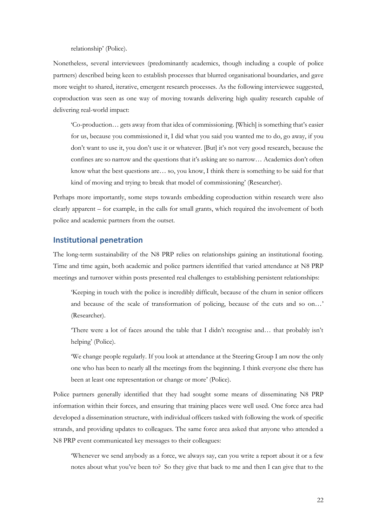relationship' (Police).

Nonetheless, several interviewees (predominantly academics, though including a couple of police partners) described being keen to establish processes that blurred organisational boundaries, and gave more weight to shared, iterative, emergent research processes. As the following interviewee suggested, coproduction was seen as one way of moving towards delivering high quality research capable of delivering real-world impact:

'Co-production… gets away from that idea of commissioning. [Which] is something that's easier for us, because you commissioned it, I did what you said you wanted me to do, go away, if you don't want to use it, you don't use it or whatever. [But] it's not very good research, because the confines are so narrow and the questions that it's asking are so narrow… Academics don't often know what the best questions are… so, you know, I think there is something to be said for that kind of moving and trying to break that model of commissioning' (Researcher).

Perhaps more importantly, some steps towards embedding coproduction within research were also clearly apparent – for example, in the calls for small grants, which required the involvement of both police and academic partners from the outset.

#### **Institutional penetration**

The long-term sustainability of the N8 PRP relies on relationships gaining an institutional footing. Time and time again, both academic and police partners identified that varied attendance at N8 PRP meetings and turnover within posts presented real challenges to establishing persistent relationships:

'Keeping in touch with the police is incredibly difficult, because of the churn in senior officers and because of the scale of transformation of policing, because of the cuts and so on…' (Researcher).

'There were a lot of faces around the table that I didn't recognise and… that probably isn't helping' (Police).

'We change people regularly. If you look at attendance at the Steering Group I am now the only one who has been to nearly all the meetings from the beginning. I think everyone else there has been at least one representation or change or more' (Police).

Police partners generally identified that they had sought some means of disseminating N8 PRP information within their forces, and ensuring that training places were well used. One force area had developed a dissemination structure, with individual officers tasked with following the work of specific strands, and providing updates to colleagues. The same force area asked that anyone who attended a N8 PRP event communicated key messages to their colleagues:

'Whenever we send anybody as a force, we always say, can you write a report about it or a few notes about what you've been to? So they give that back to me and then I can give that to the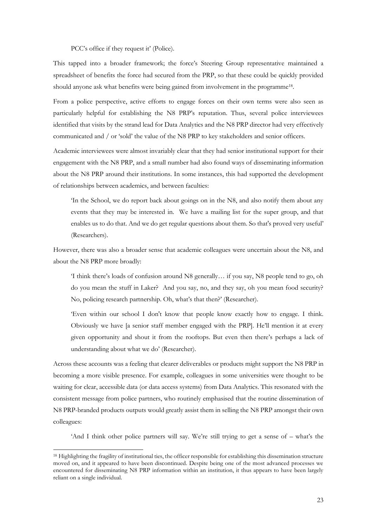PCC's office if they request it' (Police).

This tapped into a broader framework; the force's Steering Group representative maintained a spreadsheet of benefits the force had secured from the PRP, so that these could be quickly provided should anyone ask what benefits were being gained from involvement in the programme<sup>18</sup>.

From a police perspective, active efforts to engage forces on their own terms were also seen as particularly helpful for establishing the N8 PRP's reputation. Thus, several police interviewees identified that visits by the strand lead for Data Analytics and the N8 PRP director had very effectively communicated and / or 'sold' the value of the N8 PRP to key stakeholders and senior officers.

Academic interviewees were almost invariably clear that they had senior institutional support for their engagement with the N8 PRP, and a small number had also found ways of disseminating information about the N8 PRP around their institutions. In some instances, this had supported the development of relationships between academics, and between faculties:

'In the School, we do report back about goings on in the N8, and also notify them about any events that they may be interested in. We have a mailing list for the super group, and that enables us to do that. And we do get regular questions about them. So that's proved very useful' (Researchers).

However, there was also a broader sense that academic colleagues were uncertain about the N8, and about the N8 PRP more broadly:

'I think there's loads of confusion around N8 generally… if you say, N8 people tend to go, oh do you mean the stuff in Laker? And you say, no, and they say, oh you mean food security? No, policing research partnership. Oh, what's that then?' (Researcher).

'Even within our school I don't know that people know exactly how to engage. I think. Obviously we have [a senior staff member engaged with the PRP]. He'll mention it at every given opportunity and shout it from the rooftops. But even then there's perhaps a lack of understanding about what we do' (Researcher).

Across these accounts was a feeling that clearer deliverables or products might support the N8 PRP in becoming a more visible presence. For example, colleagues in some universities were thought to be waiting for clear, accessible data (or data access systems) from Data Analytics. This resonated with the consistent message from police partners, who routinely emphasised that the routine dissemination of N8 PRP-branded products outputs would greatly assist them in selling the N8 PRP amongst their own colleagues:

'And I think other police partners will say. We're still trying to get a sense of – what's the

<u>.</u>

<sup>&</sup>lt;sup>18</sup> Highlighting the fragility of institutional ties, the officer responsible for establishing this dissemination structure moved on, and it appeared to have been discontinued. Despite being one of the most advanced processes we encountered for disseminating N8 PRP information within an institution, it thus appears to have been largely reliant on a single individual.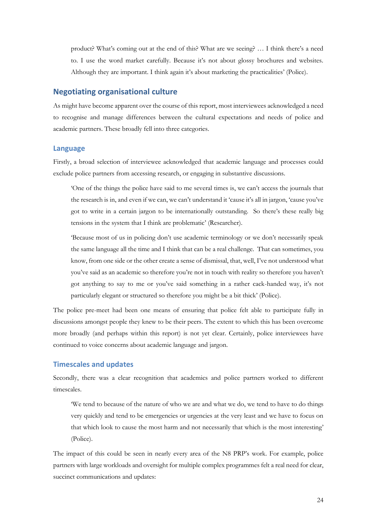product? What's coming out at the end of this? What are we seeing? … I think there's a need to. I use the word market carefully. Because it's not about glossy brochures and websites. Although they are important. I think again it's about marketing the practicalities' (Police).

## **Negotiating organisational culture**

As might have become apparent over the course of this report, most interviewees acknowledged a need to recognise and manage differences between the cultural expectations and needs of police and academic partners. These broadly fell into three categories.

#### **Language**

Firstly, a broad selection of interviewee acknowledged that academic language and processes could exclude police partners from accessing research, or engaging in substantive discussions.

'One of the things the police have said to me several times is, we can't access the journals that the research is in, and even if we can, we can't understand it 'cause it's all in jargon, 'cause you've got to write in a certain jargon to be internationally outstanding. So there's these really big tensions in the system that I think are problematic' (Researcher).

'Because most of us in policing don't use academic terminology or we don't necessarily speak the same language all the time and I think that can be a real challenge. That can sometimes, you know, from one side or the other create a sense of dismissal, that, well, I've not understood what you've said as an academic so therefore you're not in touch with reality so therefore you haven't got anything to say to me or you've said something in a rather cack-handed way, it's not particularly elegant or structured so therefore you might be a bit thick' (Police).

The police pre-meet had been one means of ensuring that police felt able to participate fully in discussions amongst people they knew to be their peers. The extent to which this has been overcome more broadly (and perhaps within this report) is not yet clear. Certainly, police interviewees have continued to voice concerns about academic language and jargon.

#### **Timescales and updates**

Secondly, there was a clear recognition that academics and police partners worked to different timescales.

'We tend to because of the nature of who we are and what we do, we tend to have to do things very quickly and tend to be emergencies or urgencies at the very least and we have to focus on that which look to cause the most harm and not necessarily that which is the most interesting' (Police).

The impact of this could be seen in nearly every area of the N8 PRP's work. For example, police partners with large workloads and oversight for multiple complex programmes felt a real need for clear, succinct communications and updates: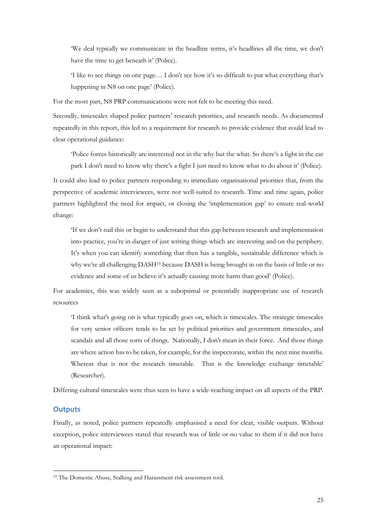'We deal typically we communicate in the headline terms, it's headlines all the time, we don't have the time to get beneath it' (Police).

'I like to see things on one page… I don't see how it's so difficult to put what everything that's happening in N8 on one page' (Police).

For the most part, N8 PRP communications were not felt to be meeting this need.

Secondly, timescales shaped police partners' research priorities, and research needs. As documented repeatedly in this report, this led to a requirement for research to provide evidence that could lead to clear operational guidance:

'Police forces historically are interested not in the why but the what. So there's a fight in the car park I don't need to know why there's a fight I just need to know what to do about it' (Police).

It could also lead to police partners responding to immediate organisational priorities that, from the perspective of academic interviewees, were not well-suited to research. Time and time again, police partners highlighted the need for impact, or closing the 'implementation gap' to ensure real-world change:

'If we don't nail this or begin to understand that this gap between research and implementation into practice, you're in danger of just writing things which are interesting and on the periphery. It's when you can identify something that then has a tangible, sustainable difference which is why we're all challenging DASH<sup>19</sup> because DASH is being brought in on the basis of little or no evidence and some of us believe it's actually causing more harm than good' (Police).

For academics, this was widely seen as a suboptimal or potentially inappropriate use of research resources

'I think what's going on is what typically goes on, which is timescales. The strategic timescales for very senior officers tends to be set by political priorities and government timescales, and scandals and all those sorts of things. Nationally, I don't mean in their force. And those things are where action has to be taken, for example, for the inspectorate, within the next nine months. Whereas that is not the research timetable. That is the knowledge exchange timetable' (Researcher).

Differing cultural timescales were thus seen to have a wide-reaching impact on all aspects of the PRP.

#### **Outputs**

<u>.</u>

Finally, as noted, police partners repeatedly emphasised a need for clear, visible outputs. Without exception, police interviewees stated that research was of little or no value to them if it did not have an operational impact:

<sup>&</sup>lt;sup>19</sup> The Domestic Abuse, Stalking and Harassment risk assessment tool.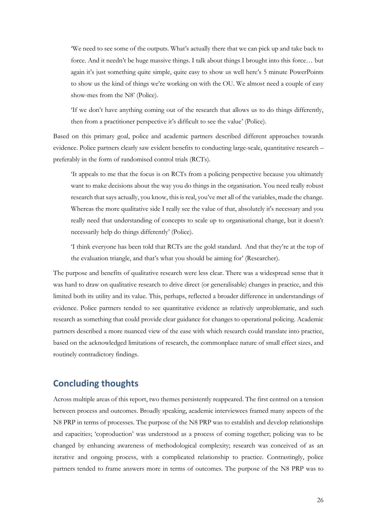'We need to see some of the outputs. What's actually there that we can pick up and take back to force. And it needn't be huge massive things. I talk about things I brought into this force… but again it's just something quite simple, quite easy to show us well here's 5 minute PowerPoints to show us the kind of things we're working on with the OU. We almost need a couple of easy show-mes from the N8' (Police).

'If we don't have anything coming out of the research that allows us to do things differently, then from a practitioner perspective it's difficult to see the value' (Police).

Based on this primary goal, police and academic partners described different approaches towards evidence. Police partners clearly saw evident benefits to conducting large-scale, quantitative research – preferably in the form of randomised control trials (RCTs).

'It appeals to me that the focus is on RCTs from a policing perspective because you ultimately want to make decisions about the way you do things in the organisation. You need really robust research that says actually, you know, this is real, you've met all of the variables, made the change. Whereas the more qualitative side I really see the value of that, absolutely it's necessary and you really need that understanding of concepts to scale up to organisational change, but it doesn't necessarily help do things differently' (Police).

'I think everyone has been told that RCTs are the gold standard. And that they're at the top of the evaluation triangle, and that's what you should be aiming for' (Researcher).

The purpose and benefits of qualitative research were less clear. There was a widespread sense that it was hard to draw on qualitative research to drive direct (or generalisable) changes in practice, and this limited both its utility and its value. This, perhaps, reflected a broader difference in understandings of evidence. Police partners tended to see quantitative evidence as relatively unproblematic, and such research as something that could provide clear guidance for changes to operational policing. Academic partners described a more nuanced view of the ease with which research could translate into practice, based on the acknowledged limitations of research, the commonplace nature of small effect sizes, and routinely contradictory findings.

# **Concluding thoughts**

Across multiple areas of this report, two themes persistently reappeared. The first centred on a tension between process and outcomes. Broadly speaking, academic interviewees framed many aspects of the N8 PRP in terms of processes. The purpose of the N8 PRP was to establish and develop relationships and capacities; 'coproduction' was understood as a process of coming together; policing was to be changed by enhancing awareness of methodological complexity; research was conceived of as an iterative and ongoing process, with a complicated relationship to practice. Contrastingly, police partners tended to frame answers more in terms of outcomes. The purpose of the N8 PRP was to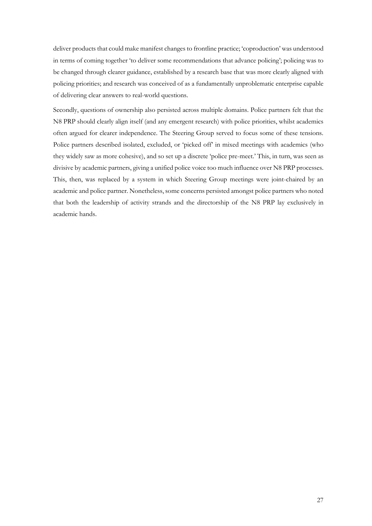deliver products that could make manifest changes to frontline practice; 'coproduction' was understood in terms of coming together 'to deliver some recommendations that advance policing'; policing was to be changed through clearer guidance, established by a research base that was more clearly aligned with policing priorities; and research was conceived of as a fundamentally unproblematic enterprise capable of delivering clear answers to real-world questions.

Secondly, questions of ownership also persisted across multiple domains. Police partners felt that the N8 PRP should clearly align itself (and any emergent research) with police priorities, whilst academics often argued for clearer independence. The Steering Group served to focus some of these tensions. Police partners described isolated, excluded, or 'picked off' in mixed meetings with academics (who they widely saw as more cohesive), and so set up a discrete 'police pre-meet.' This, in turn, was seen as divisive by academic partners, giving a unified police voice too much influence over N8 PRP processes. This, then, was replaced by a system in which Steering Group meetings were joint-chaired by an academic and police partner. Nonetheless, some concerns persisted amongst police partners who noted that both the leadership of activity strands and the directorship of the N8 PRP lay exclusively in academic hands.